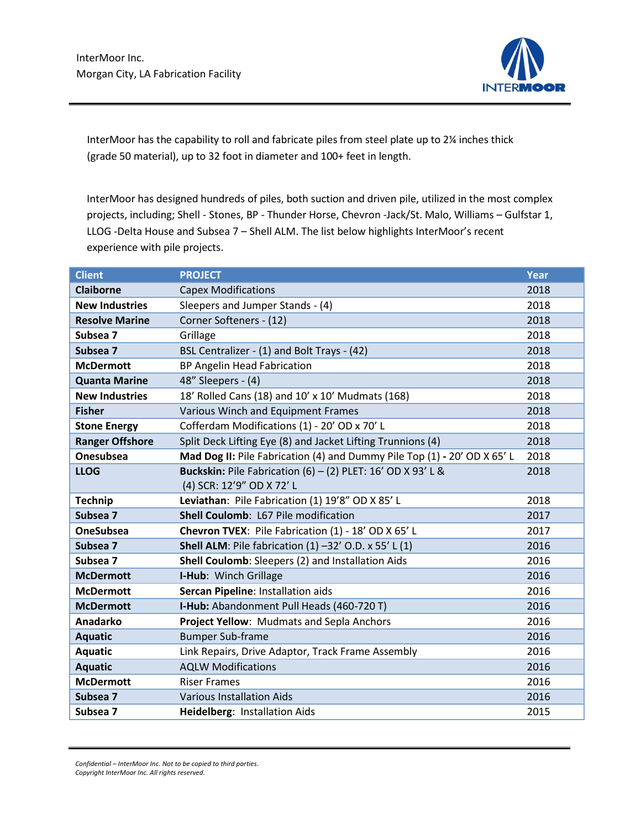

InterMoor has the capability to roll and fabricate piles from steel plate up to 2¼ inches thick (grade 50 material), up to 32 foot in diameter and 100+ feet in length.

InterMoor has designed hundreds of piles, both suction and driven pile, utilized in the most complex projects, including; Shell - Stones, BP - Thunder Horse, Chevron -Jack/St. Malo, Williams – Gulfstar 1, LLOG -Delta House and Subsea 7 – Shell ALM. The list below highlights InterMoor's recent experience with pile projects.

| <b>Client</b>          | <b>PROJECT</b>                                                           | Year |
|------------------------|--------------------------------------------------------------------------|------|
| <b>Claiborne</b>       | <b>Capex Modifications</b>                                               | 2018 |
| <b>New Industries</b>  | Sleepers and Jumper Stands - (4)                                         | 2018 |
| <b>Resolve Marine</b>  | Corner Softeners - (12)                                                  | 2018 |
| Subsea 7               | Grillage                                                                 | 2018 |
| Subsea 7               | BSL Centralizer - (1) and Bolt Trays - (42)                              | 2018 |
| <b>McDermott</b>       | BP Angelin Head Fabrication                                              | 2018 |
| <b>Quanta Marine</b>   | 48" Sleepers - (4)                                                       | 2018 |
| <b>New Industries</b>  | 18' Rolled Cans (18) and 10' x 10' Mudmats (168)                         | 2018 |
| <b>Fisher</b>          | Various Winch and Equipment Frames                                       | 2018 |
| <b>Stone Energy</b>    | Cofferdam Modifications (1) - 20' OD x 70' L                             | 2018 |
| <b>Ranger Offshore</b> | Split Deck Lifting Eye (8) and Jacket Lifting Trunnions (4)              | 2018 |
| <b>Onesubsea</b>       | Mad Dog II: Pile Fabrication (4) and Dummy Pile Top (1) - 20' OD X 65' L | 2018 |
| <b>LLOG</b>            | Buckskin: Pile Fabrication (6) - (2) PLET: 16' OD X 93' L &              | 2018 |
|                        | (4) SCR: 12'9" OD X 72' L                                                |      |
| <b>Technip</b>         | Leviathan: Pile Fabrication (1) 19'8" OD X 85'L                          | 2018 |
| Subsea 7               | Shell Coulomb: L67 Pile modification                                     | 2017 |
| <b>OneSubsea</b>       | Chevron TVEX: Pile Fabrication (1) - 18' OD X 65' L                      | 2017 |
| Subsea 7               | <b>Shell ALM:</b> Pile fabrication $(1)$ -32' O.D. x 55' L $(1)$         | 2016 |
| Subsea 7               | Shell Coulomb: Sleepers (2) and Installation Aids                        | 2016 |
| <b>McDermott</b>       | I-Hub: Winch Grillage                                                    | 2016 |
| <b>McDermott</b>       | Sercan Pipeline: Installation aids                                       | 2016 |
| <b>McDermott</b>       | I-Hub: Abandonment Pull Heads (460-720 T)                                | 2016 |
| Anadarko               | Project Yellow: Mudmats and Sepla Anchors                                | 2016 |
| <b>Aquatic</b>         | <b>Bumper Sub-frame</b>                                                  | 2016 |
| <b>Aquatic</b>         | Link Repairs, Drive Adaptor, Track Frame Assembly                        | 2016 |
| <b>Aquatic</b>         | <b>AQLW Modifications</b>                                                | 2016 |
| <b>McDermott</b>       | <b>Riser Frames</b>                                                      | 2016 |
| Subsea 7               | <b>Various Installation Aids</b>                                         | 2016 |
| Subsea 7               | Heidelberg: Installation Aids                                            | 2015 |

*Confidential – InterMoor Inc. Not to be copied to third parties. Copyright InterMoor Inc. All rights reserved.*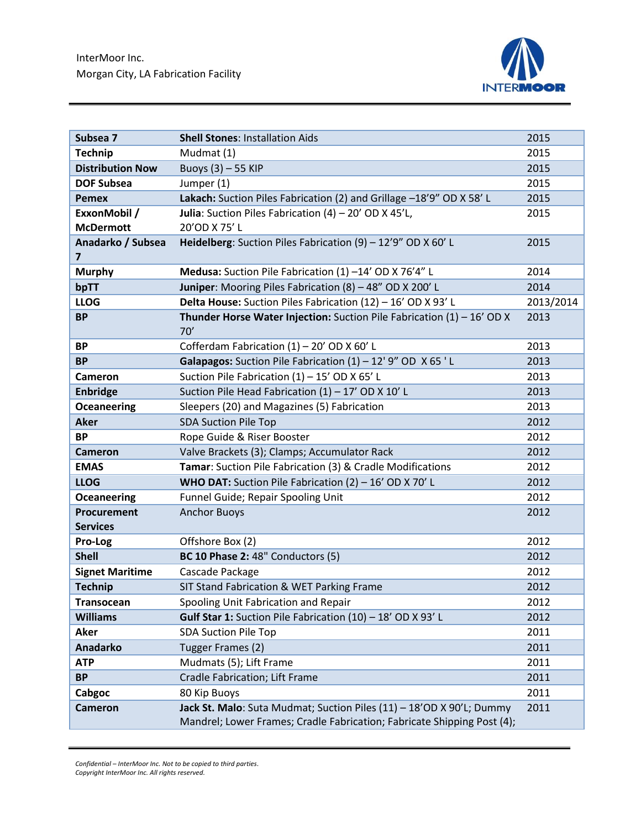

| Subsea 7                | <b>Shell Stones: Installation Aids</b>                                                                                                          | 2015      |
|-------------------------|-------------------------------------------------------------------------------------------------------------------------------------------------|-----------|
| <b>Technip</b>          | Mudmat (1)                                                                                                                                      | 2015      |
| <b>Distribution Now</b> | Buoys (3) - 55 KIP                                                                                                                              | 2015      |
| <b>DOF Subsea</b>       | Jumper (1)                                                                                                                                      | 2015      |
| <b>Pemex</b>            | Lakach: Suction Piles Fabrication (2) and Grillage -18'9" OD X 58' L                                                                            | 2015      |
| ExxonMobil /            | Julia: Suction Piles Fabrication $(4) - 20'$ OD X 45'L,                                                                                         | 2015      |
| <b>McDermott</b>        | 20'OD X 75' L                                                                                                                                   |           |
| Anadarko / Subsea       | <b>Heidelberg:</b> Suction Piles Fabrication (9) $-12'9''$ OD X 60' L                                                                           | 2015      |
| $\overline{\mathbf{z}}$ |                                                                                                                                                 |           |
| <b>Murphy</b>           | Medusa: Suction Pile Fabrication (1) -14' OD X 76'4" L                                                                                          | 2014      |
| bpTT                    | Juniper: Mooring Piles Fabrication (8) - 48" OD X 200'L                                                                                         | 2014      |
| <b>LLOG</b>             | Delta House: Suction Piles Fabrication (12) - 16' OD X 93' L                                                                                    | 2013/2014 |
| <b>BP</b>               | <b>Thunder Horse Water Injection:</b> Suction Pile Fabrication $(1) - 16'$ OD X<br>70'                                                          | 2013      |
| <b>BP</b>               | Cofferdam Fabrication (1) - 20' OD X 60' L                                                                                                      | 2013      |
| <b>BP</b>               | Galapagos: Suction Pile Fabrication $(1) - 12'$ 9" OD $X$ 65 'L                                                                                 | 2013      |
| Cameron                 | Suction Pile Fabrication (1) - 15' OD X 65' L                                                                                                   | 2013      |
| <b>Enbridge</b>         | Suction Pile Head Fabrication (1) - 17' OD X 10' L                                                                                              | 2013      |
| <b>Oceaneering</b>      | Sleepers (20) and Magazines (5) Fabrication                                                                                                     | 2013      |
| <b>Aker</b>             | <b>SDA Suction Pile Top</b>                                                                                                                     | 2012      |
| <b>BP</b>               | Rope Guide & Riser Booster                                                                                                                      | 2012      |
| <b>Cameron</b>          | Valve Brackets (3); Clamps; Accumulator Rack                                                                                                    | 2012      |
| <b>EMAS</b>             | Tamar: Suction Pile Fabrication (3) & Cradle Modifications                                                                                      | 2012      |
| <b>LLOG</b>             | <b>WHO DAT:</b> Suction Pile Fabrication $(2) - 16'$ OD X 70' L                                                                                 | 2012      |
| <b>Oceaneering</b>      | Funnel Guide; Repair Spooling Unit                                                                                                              | 2012      |
| Procurement             | <b>Anchor Buoys</b>                                                                                                                             | 2012      |
| <b>Services</b>         |                                                                                                                                                 |           |
| Pro-Log                 | Offshore Box (2)                                                                                                                                | 2012      |
| <b>Shell</b>            | <b>BC 10 Phase 2: 48" Conductors (5)</b>                                                                                                        | 2012      |
| <b>Signet Maritime</b>  | Cascade Package                                                                                                                                 | 2012      |
| <b>Technip</b>          | SIT Stand Fabrication & WET Parking Frame                                                                                                       | 2012      |
| <b>Transocean</b>       | Spooling Unit Fabrication and Repair                                                                                                            | 2012      |
| <b>Williams</b>         | Gulf Star 1: Suction Pile Fabrication (10) - 18' OD X 93' L                                                                                     | 2012      |
| <b>Aker</b>             | <b>SDA Suction Pile Top</b>                                                                                                                     | 2011      |
| <b>Anadarko</b>         | Tugger Frames (2)                                                                                                                               | 2011      |
| <b>ATP</b>              | Mudmats (5); Lift Frame                                                                                                                         | 2011      |
| <b>BP</b>               | Cradle Fabrication; Lift Frame                                                                                                                  | 2011      |
| Cabgoc                  | 80 Kip Buoys                                                                                                                                    | 2011      |
| <b>Cameron</b>          | Jack St. Malo: Suta Mudmat; Suction Piles (11) - 18'OD X 90'L; Dummy<br>Mandrel; Lower Frames; Cradle Fabrication; Fabricate Shipping Post (4); | 2011      |

*Confidential – InterMoor Inc. Not to be copied to third parties. Copyright InterMoor Inc. All rights reserved.*